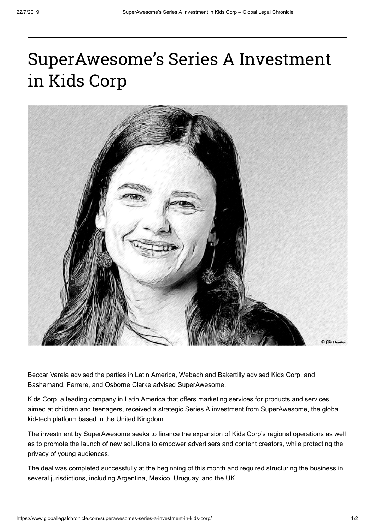## SuperAwesome's Series A Investment in Kids Corp



Beccar Varela advised the parties in Latin America, Webach and Bakertilly advised Kids Corp, and Bashamand, Ferrere, and Osborne Clarke advised SuperAwesome.

Kids Corp, a leading company in Latin America that offers marketing services for products and services aimed at children and teenagers, received a strategic Series A investment from SuperAwesome, the global kid-tech platform based in the United Kingdom.

The investment by SuperAwesome seeks to finance the expansion of Kids Corp's regional operations as well as to promote the launch of new solutions to empower advertisers and content creators, while protecting the privacy of young audiences.

The deal was completed successfully at the beginning of this month and required structuring the business in several jurisdictions, including Argentina, Mexico, Uruguay, and the UK.